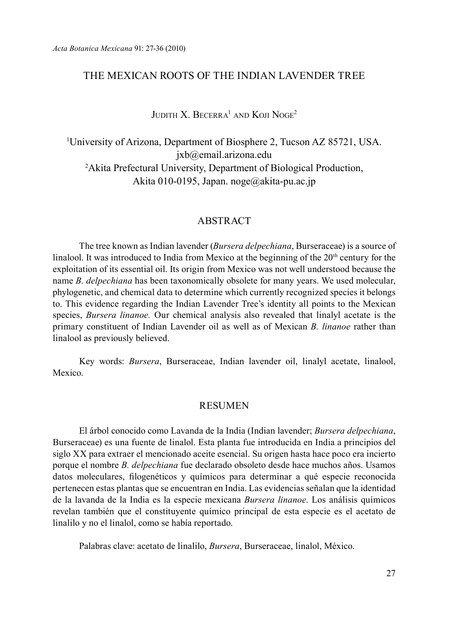# The Mexican roots of the Indian Lavender Tree

 $J$ udith X. Becerra<sup>1</sup> and Koji Noge<sup>2</sup>

1 University of Arizona, Department of Biosphere 2, Tucson AZ 85721, USA. jxb@email.arizona.edu 2 Akita Prefectural University, Department of Biological Production, Akita 010-0195, Japan. noge@akita-pu.ac.jp

### ABSTRACT

The tree known as Indian lavender (*Bursera delpechiana*, Burseraceae) is a source of linalool. It was introduced to India from Mexico at the beginning of the  $20<sup>th</sup>$  century for the exploitation of its essential oil. Its origin from Mexico was not well understood because the name *B. delpechiana* has been taxonomically obsolete for many years. We used molecular, phylogenetic, and chemical data to determine which currently recognized species it belongs to. This evidence regarding the Indian Lavender Tree's identity all points to the Mexican species, *Bursera linanoe.* Our chemical analysis also revealed that linalyl acetate is the primary constituent of Indian Lavender oil as well as of Mexican *B. linanoe* rather than linalool as previously believed.

Key words: *Bursera*, Burseraceae, Indian lavender oil, linalyl acetate, linalool, Mexico.

### **RESUMEN**

El árbol conocido como Lavanda de la India (Indian lavender; *Bursera delpechiana*, Burseraceae) es una fuente de linalol. Esta planta fue introducida en India a principios del siglo XX para extraer el mencionado aceite esencial. Su origen hasta hace poco era incierto porque el nombre *B. delpechiana* fue declarado obsoleto desde hace muchos años. Usamos datos moleculares, filogenéticos y químicos para determinar a qué especie reconocida pertenecen estas plantas que se encuentran en India. Las evidencias señalan que la identidad de la lavanda de la India es la especie mexicana *Bursera linanoe*. Los análisis químicos revelan también que el constituyente químico principal de esta especie es el acetato de linalilo y no el linalol, como se había reportado.

Palabras clave: acetato de linalilo, *Bursera*, Burseraceae, linalol, México.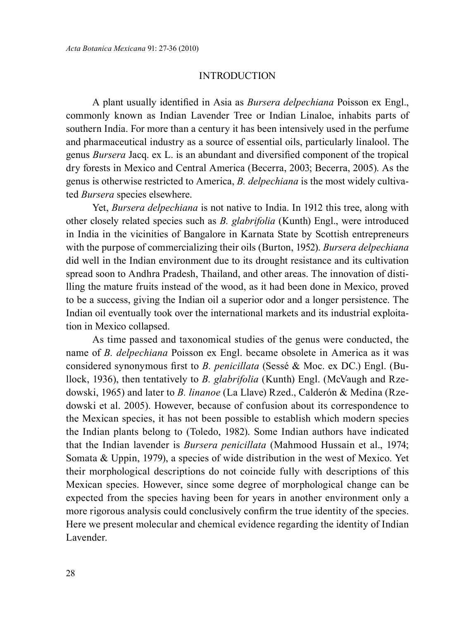### **INTRODUCTION**

A plant usually identified in Asia as *Bursera delpechiana* Poisson ex Engl., commonly known as Indian Lavender Tree or Indian Linaloe, inhabits parts of southern India. For more than a century it has been intensively used in the perfume and pharmaceutical industry as a source of essential oils, particularly linalool. The genus *Bursera* Jacq. ex L. is an abundant and diversified component of the tropical dry forests in Mexico and Central America (Becerra, 2003; Becerra, 2005). As the genus is otherwise restricted to America, *B. delpechiana* is the most widely cultivated *Bursera* species elsewhere.

Yet, *Bursera delpechiana* is not native to India. In 1912 this tree, along with other closely related species such as *B. glabrifolia* (Kunth) Engl., were introduced in India in the vicinities of Bangalore in Karnata State by Scottish entrepreneurs with the purpose of commercializing their oils (Burton, 1952). *Bursera delpechiana* did well in the Indian environment due to its drought resistance and its cultivation spread soon to Andhra Pradesh, Thailand, and other areas. The innovation of distilling the mature fruits instead of the wood, as it had been done in Mexico, proved to be a success, giving the Indian oil a superior odor and a longer persistence. The Indian oil eventually took over the international markets and its industrial exploitation in Mexico collapsed.

As time passed and taxonomical studies of the genus were conducted, the name of *B. delpechiana* Poisson ex Engl. became obsolete in America as it was considered synonymous first to *B. penicillata* (Sessé & Moc. ex DC.) Engl. (Bullock, 1936), then tentatively to *B. glabrifolia* (Kunth) Engl. (McVaugh and Rzedowski, 1965) and later to *B. linanoe* (La Llave) Rzed., Calderón & Medina (Rzedowski et al. 2005). However, because of confusion about its correspondence to the Mexican species, it has not been possible to establish which modern species the Indian plants belong to (Toledo, 1982). Some Indian authors have indicated that the Indian lavender is *Bursera penicillata* (Mahmood Hussain et al., 1974; Somata & Uppin, 1979), a species of wide distribution in the west of Mexico. Yet their morphological descriptions do not coincide fully with descriptions of this Mexican species. However, since some degree of morphological change can be expected from the species having been for years in another environment only a more rigorous analysis could conclusively confirm the true identity of the species. Here we present molecular and chemical evidence regarding the identity of Indian Lavender.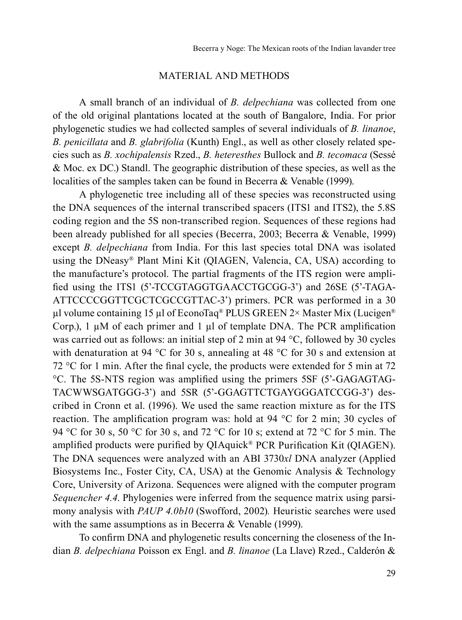### MATERIAL AND METHODS

A small branch of an individual of *B. delpechiana* was collected from one of the old original plantations located at the south of Bangalore, India. For prior phylogenetic studies we had collected samples of several individuals of *B. linanoe*, *B. penicillata* and *B. glabrifolia* (Kunth) Engl., as well as other closely related species such as *B. xochipalensis* Rzed., *B. heteresthes* Bullock and *B. tecomaca* (Sessé & Moc. ex DC.) Standl. The geographic distribution of these species, as well as the localities of the samples taken can be found in Becerra & Venable (1999).

A phylogenetic tree including all of these species was reconstructed using the DNA sequences of the internal transcribed spacers (ITS1 and ITS2), the 5.8S coding region and the 5S non-transcribed region. Sequences of these regions had been already published for all species (Becerra, 2003; Becerra & Venable, 1999) except *B. delpechiana* from India. For this last species total DNA was isolated using the DNeasy® Plant Mini Kit (QIAGEN, Valencia, CA, USA) according to the manufacture's protocol. The partial fragments of the ITS region were amplified using the ITS1 (5'-TCCGTAGGTGAACCTGCGG-3') and 26SE (5'-TAGA-ATTCCCCGGTTCGCTCGCCGTTAC-3') primers. PCR was performed in a 30 µl volume containing 15 µl of EconoTaq® PLUS GREEN 2× Master Mix (Lucigen® Corp.), 1  $\mu$ M of each primer and 1  $\mu$ l of template DNA. The PCR amplification was carried out as follows: an initial step of 2 min at 94 °C, followed by 30 cycles with denaturation at 94 °C for 30 s, annealing at 48 °C for 30 s and extension at 72 °C for 1 min. After the final cycle, the products were extended for 5 min at 72 °C. The 5S-NTS region was amplified using the primers 5SF (5'-GAGAGTAG-TACWWSGATGGG-3') and 5SR (5'-GGAGTTCTGAYGGGATCCGG-3') described in Cronn et al. (1996). We used the same reaction mixture as for the ITS reaction. The amplification program was: hold at 94 °C for 2 min; 30 cycles of 94 °C for 30 s, 50 °C for 30 s, and 72 °C for 10 s; extend at 72 °C for 5 min. The amplified products were purified by QIAquick® PCR Purification Kit (QIAGEN). The DNA sequences were analyzed with an ABI 3730*xl* DNA analyzer (Applied Biosystems Inc., Foster City, CA, USA) at the Genomic Analysis & Technology Core, University of Arizona. Sequences were aligned with the computer program *Sequencher 4.4*. Phylogenies were inferred from the sequence matrix using parsimony analysis with *PAUP 4.0b10* (Swofford, 2002)*.* Heuristic searches were used with the same assumptions as in Becerra & Venable (1999).

To confirm DNA and phylogenetic results concerning the closeness of the Indian *B. delpechiana* Poisson ex Engl. and *B. linanoe* (La Llave) Rzed., Calderón &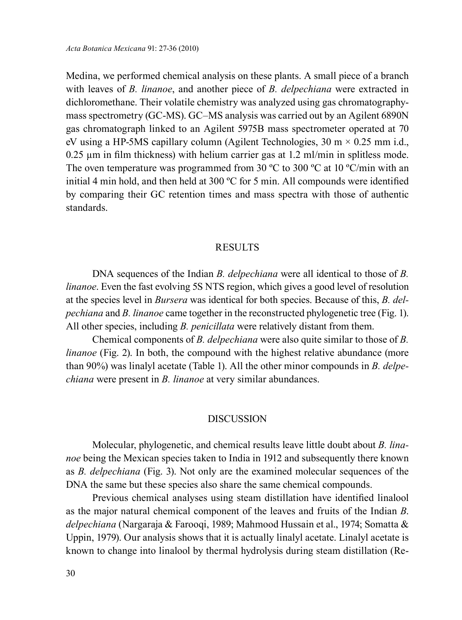Medina, we performed chemical analysis on these plants. A small piece of a branch with leaves of *B. linanoe*, and another piece of *B. delpechiana* were extracted in dichloromethane. Their volatile chemistry was analyzed using gas chromatographymass spectrometry (GC-MS). GC–MS analysis was carried out by an Agilent 6890N gas chromatograph linked to an Agilent 5975B mass spectrometer operated at 70 eV using a HP-5MS capillary column (Agilent Technologies,  $30 \text{ m} \times 0.25 \text{ mm}$  i.d.,  $0.25$  um in film thickness) with helium carrier gas at 1.2 ml/min in splitless mode. The oven temperature was programmed from 30 °C to 300 °C at 10 °C/min with an initial 4 min hold, and then held at 300 ºC for 5 min. All compounds were identified by comparing their GC retention times and mass spectra with those of authentic standards.

### **RESULTS**

DNA sequences of the Indian *B. delpechiana* were all identical to those of *B. linanoe*. Even the fast evolving 5S NTS region, which gives a good level of resolution at the species level in *Bursera* was identical for both species. Because of this, *B. delpechiana* and *B. linanoe* came together in the reconstructed phylogenetic tree (Fig. 1). All other species, including *B. penicillata* were relatively distant from them.

Chemical components of *B. delpechiana* were also quite similar to those of *B. linanoe* (Fig. 2). In both, the compound with the highest relative abundance (more than 90%) was linalyl acetate (Table 1). All the other minor compounds in *B. delpechiana* were present in *B. linanoe* at very similar abundances.

## DISCUSSION

Molecular, phylogenetic, and chemical results leave little doubt about *B. linanoe* being the Mexican species taken to India in 1912 and subsequently there known as *B. delpechiana* (Fig. 3). Not only are the examined molecular sequences of the DNA the same but these species also share the same chemical compounds.

Previous chemical analyses using steam distillation have identified linalool as the major natural chemical component of the leaves and fruits of the Indian *B*. *delpechiana* (Nargaraja & Farooqi, 1989; Mahmood Hussain et al., 1974; Somatta & Uppin, 1979). Our analysis shows that it is actually linalyl acetate. Linalyl acetate is known to change into linalool by thermal hydrolysis during steam distillation (Re-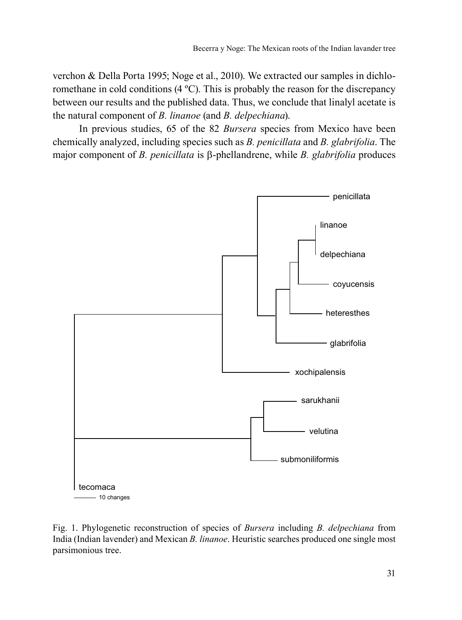verchon & Della Porta 1995; Noge et al., 2010). We extracted our samples in dichloromethane in cold conditions (4 ºC). This is probably the reason for the discrepancy between our results and the published data. Thus, we conclude that linalyl acetate is the natural component of *B. linanoe* (and *B. delpechiana*).

In previous studies, 65 of the 82 *Bursera* species from Mexico have been chemically analyzed, including species such as *B. penicillata* and *B. glabrifolia*. The major component of *B. penicillata* is β-phellandrene, while *B. glabrifolia* produces



Fig. 1. Phylogenetic reconstruction of species of *Bursera* including *B. delpechiana* from India (Indian lavender) and Mexican *B. linanoe*. Heuristic searches produced one single most parsimonious tree.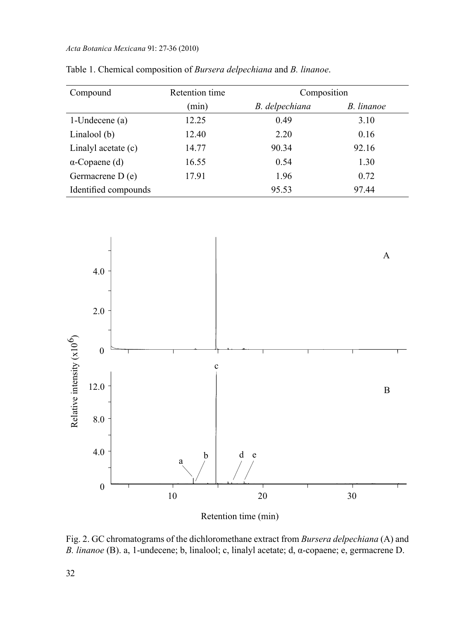#### *Acta Botanica Mexicana* 91: 27-36 (2010)

| Compound              | Retention time | Composition    |            |
|-----------------------|----------------|----------------|------------|
|                       | (min)          | B. delpechiana | B. linanoe |
| 1-Undecene $(a)$      | 12.25          | 0.49           | 3.10       |
| Linalool (b)          | 12.40          | 2.20           | 0.16       |
| Linalyl acetate (c)   | 14.77          | 90.34          | 92.16      |
| $\alpha$ -Copaene (d) | 16.55          | 0.54           | 1.30       |
| Germacrene D(e)       | 17.91          | 1.96           | 0.72       |
| Identified compounds  |                | 95.53          | 97.44      |

Table 1. Chemical composition of *Bursera delpechiana* and *B. linanoe*.



Retention time (min)

Fig. 2. GC chromatograms of the dichloromethane extract from *Bursera delpechiana* (A) and *B. linanoe* (B). a, 1-undecene; b, linalool; c, linalyl acetate; d, α-copaene; e, germacrene D.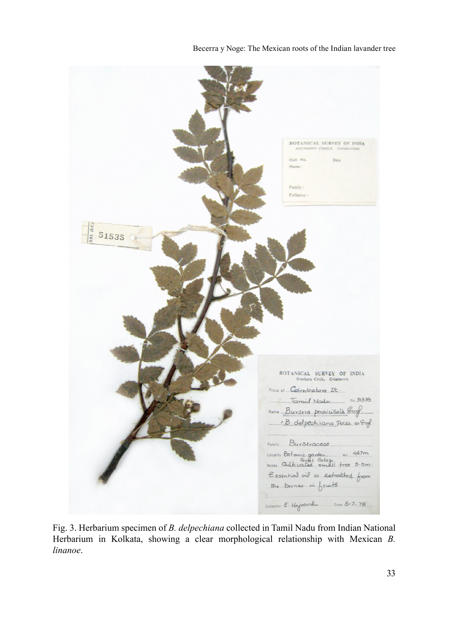

|                                      | BOTANICAL SURVEY OF INDIA<br>SOUTHERN CIRCLE, COIMBATORE<br>Coll. No.<br>Date<br>Name:                                                     |
|--------------------------------------|--------------------------------------------------------------------------------------------------------------------------------------------|
|                                      | Family:<br>Collector:                                                                                                                      |
| $-\frac{c_0}{\frac{c_0^2}{2}}$ 51535 |                                                                                                                                            |
|                                      | BOTANICAL SURVEY OF INDIA<br>Southern Circle, Coimbatore                                                                                   |
|                                      | Flora of Coirobatore Dt.<br>Tamil Nadu<br>No.51535<br>Name Bursera pennicillata Engl.                                                      |
|                                      | = B. delpechiana Poiss. er Engl.<br>Family Burseraceae<br>Alt. 467m<br>Locality Botanic garden 411 467m<br>Essential oil is extracted from |
|                                      | the bervies in fruits<br>Collector E. Vajvardu Date 5-7-78                                                                                 |

Fig. 3. Herbarium specimen of *B. delpechiana* collected in Tamil Nadu from Indian National Herbarium in Kolkata, showing a clear morphological relationship with Mexican *B. linanoe*.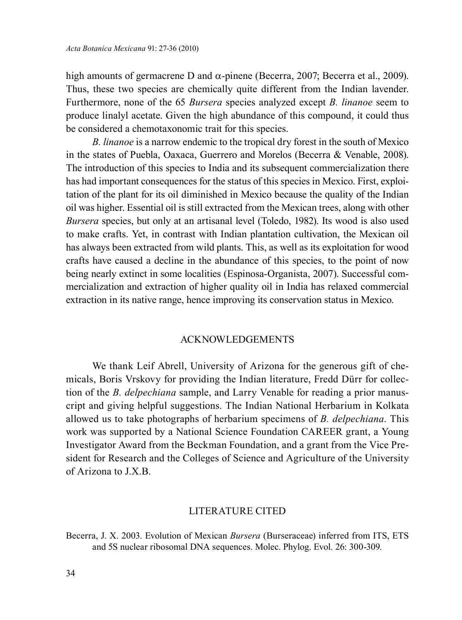high amounts of germacrene D and  $\alpha$ -pinene (Becerra, 2007; Becerra et al., 2009). Thus, these two species are chemically quite different from the Indian lavender. Furthermore, none of the 65 *Bursera* species analyzed except *B. linanoe* seem to produce linalyl acetate. Given the high abundance of this compound, it could thus be considered a chemotaxonomic trait for this species.

*B. linanoe* is a narrow endemic to the tropical dry forest in the south of Mexico in the states of Puebla, Oaxaca, Guerrero and Morelos (Becerra & Venable, 2008). The introduction of this species to India and its subsequent commercialization there has had important consequences for the status of this species in Mexico. First, exploitation of the plant for its oil diminished in Mexico because the quality of the Indian oil was higher. Essential oil is still extracted from the Mexican trees, along with other *Bursera* species, but only at an artisanal level (Toledo, 1982). Its wood is also used to make crafts. Yet, in contrast with Indian plantation cultivation, the Mexican oil has always been extracted from wild plants. This, as well as its exploitation for wood crafts have caused a decline in the abundance of this species, to the point of now being nearly extinct in some localities (Espinosa-Organista, 2007). Successful commercialization and extraction of higher quality oil in India has relaxed commercial extraction in its native range, hence improving its conservation status in Mexico.

## ACKNOWLEDGEMENTS

We thank Leif Abrell, University of Arizona for the generous gift of chemicals, Boris Vrskovy for providing the Indian literature, Fredd Dürr for collection of the *B. delpechiana* sample, and Larry Venable for reading a prior manuscript and giving helpful suggestions. The Indian National Herbarium in Kolkata allowed us to take photographs of herbarium specimens of *B. delpechiana*. This work was supported by a National Science Foundation CAREER grant, a Young Investigator Award from the Beckman Foundation, and a grant from the Vice President for Research and the Colleges of Science and Agriculture of the University of Arizona to J.X.B.

### LITERATURE CITED

Becerra, J. X. 2003. Evolution of Mexican *Bursera* (Burseraceae) inferred from ITS, ETS and 5S nuclear ribosomal DNA sequences. Molec. Phylog. Evol. 26: 300-309.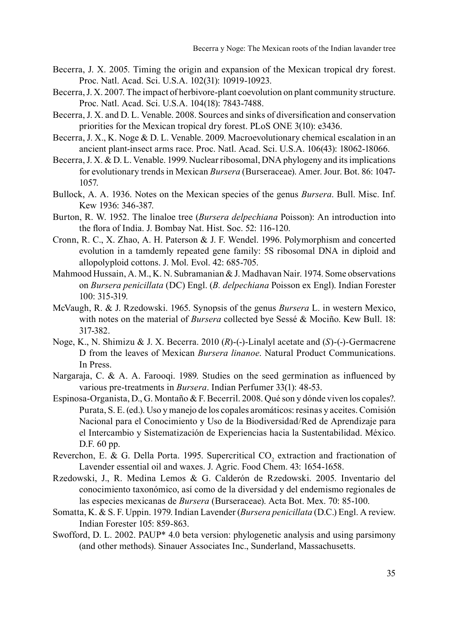- Becerra, J. X. 2005. Timing the origin and expansion of the Mexican tropical dry forest. Proc. Natl. Acad. Sci. U.S.A. 102(31): 10919-10923.
- Becerra, J. X. 2007. The impact of herbivore-plant coevolution on plant community structure. Proc. Natl. Acad. Sci. U.S.A. 104(18): 7843-7488.
- Becerra, J. X. and D. L. Venable. 2008. Sources and sinks of diversification and conservation priorities for the Mexican tropical dry forest. PLoS ONE 3(10): e3436.
- Becerra, J. X., K. Noge & D. L. Venable. 2009. Macroevolutionary chemical escalation in an ancient plant-insect arms race. Proc. Natl. Acad. Sci. U.S.A. 106(43): 18062-18066.
- Becerra, J. X. & D. L. Venable. 1999. Nuclear ribosomal, DNA phylogeny and its implications for evolutionary trends in Mexican *Bursera* (Burseraceae). Amer. Jour. Bot. 86: 1047- 1057.
- Bullock, A. A. 1936. Notes on the Mexican species of the genus *Bursera*. Bull. Misc. Inf. Kew 1936: 346-387.
- Burton, R. W. 1952. The linaloe tree (*Bursera delpechiana* Poisson): An introduction into the flora of India. J. Bombay Nat. Hist. Soc. 52: 116-120.
- Cronn, R. C., X. Zhao, A. H. Paterson & J. F. Wendel. 1996. Polymorphism and concerted evolution in a tamdemly repeated gene family: 5S ribosomal DNA in diploid and allopolyploid cottons. J. Mol. Evol. 42: 685-705.
- Mahmood Hussain, A. M., K. N. Subramanian & J. Madhavan Nair. 1974. Some observations on *Bursera penicillata* (DC) Engl. (*B. delpechiana* Poisson ex Engl). Indian Forester 100: 315-319.
- McVaugh, R. & J. Rzedowski. 1965. Synopsis of the genus *Bursera* L. in western Mexico, with notes on the material of *Bursera* collected bye Sessé & Mociño. Kew Bull. 18: 317-382.
- Noge, K., N. Shimizu & J. X. Becerra. 2010 (*R*)-(-)-Linalyl acetate and (*S*)-(-)-Germacrene D from the leaves of Mexican *Bursera linanoe*. Natural Product Communications. In Press.
- Nargaraja, C. & A. A. Farooqi. 1989. Studies on the seed germination as influenced by various pre-treatments in *Bursera*. Indian Perfumer 33(1): 48-53.
- Espinosa-Organista, D., G. Montaño & F. Becerril. 2008. Qué son y dónde viven los copales?. Purata, S. E. (ed.). Uso y manejo de los copales aromáticos: resinas y aceites. Comisión Nacional para el Conocimiento y Uso de la Biodiversidad/Red de Aprendizaje para el Intercambio y Sistematización de Experiencias hacia la Sustentabilidad. México. D.F. 60 pp.
- Reverchon, E. & G. Della Porta. 1995. Supercritical  $CO_2$  extraction and fractionation of Lavender essential oil and waxes. J. Agric. Food Chem. 43: 1654-1658.
- Rzedowski, J., R. Medina Lemos & G. Calderón de Rzedowski. 2005. Inventario del conocimiento taxonómico, así como de la diversidad y del endemismo regionales de las especies mexicanas de *Bursera* (Burseraceae). Acta Bot. Mex. 70: 85-100.
- Somatta, K. & S. F. Uppin. 1979. Indian Lavender (*Bursera penicillata* (D.C.) Engl. A review. Indian Forester 105: 859-863.
- Swofford, D. L. 2002. PAUP\* 4.0 beta version: phylogenetic analysis and using parsimony (and other methods). Sinauer Associates Inc., Sunderland, Massachusetts.